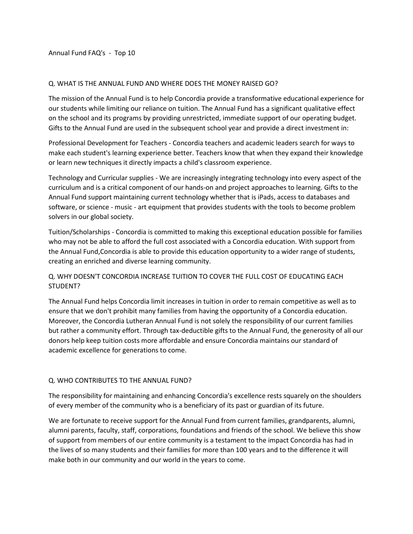Annual Fund FAQ's - Top 10

#### Q. WHAT IS THE ANNUAL FUND AND WHERE DOES THE MONEY RAISED GO?

The mission of the Annual Fund is to help Concordia provide a transformative educational experience for our students while limiting our reliance on tuition. The Annual Fund has a significant qualitative effect on the school and its programs by providing unrestricted, immediate support of our operating budget. Gifts to the Annual Fund are used in the subsequent school year and provide a direct investment in:

Professional Development for Teachers - Concordia teachers and academic leaders search for ways to make each student's learning experience better. Teachers know that when they expand their knowledge or learn new techniques it directly impacts a child's classroom experience.

Technology and Curricular supplies - We are increasingly integrating technology into every aspect of the curriculum and is a critical component of our hands-on and project approaches to learning. Gifts to the Annual Fund support maintaining current technology whether that is iPads, access to databases and software, or science - music - art equipment that provides students with the tools to become problem solvers in our global society.

Tuition/Scholarships - Concordia is committed to making this exceptional education possible for families who may not be able to afford the full cost associated with a Concordia education. With support from the Annual Fund,Concordia is able to provide this education opportunity to a wider range of students, creating an enriched and diverse learning community.

# Q. WHY DOESN'T CONCORDIA INCREASE TUITION TO COVER THE FULL COST OF EDUCATING EACH STUDENT?

The Annual Fund helps Concordia limit increases in tuition in order to remain competitive as well as to ensure that we don't prohibit many families from having the opportunity of a Concordia education. Moreover, the Concordia Lutheran Annual Fund is not solely the responsibility of our current families but rather a community effort. Through tax-deductible gifts to the Annual Fund, the generosity of all our donors help keep tuition costs more affordable and ensure Concordia maintains our standard of academic excellence for generations to come.

#### Q. WHO CONTRIBUTES TO THE ANNUAL FUND?

The responsibility for maintaining and enhancing Concordia's excellence rests squarely on the shoulders of every member of the community who is a beneficiary of its past or guardian of its future.

We are fortunate to receive support for the Annual Fund from current families, grandparents, alumni, alumni parents, faculty, staff, corporations, foundations and friends of the school. We believe this show of support from members of our entire community is a testament to the impact Concordia has had in the lives of so many students and their families for more than 100 years and to the difference it will make both in our community and our world in the years to come.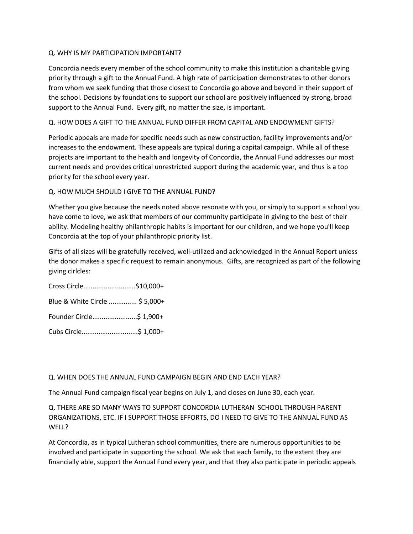## Q. WHY IS MY PARTICIPATION IMPORTANT?

Concordia needs every member of the school community to make this institution a charitable giving priority through a gift to the Annual Fund. A high rate of participation demonstrates to other donors from whom we seek funding that those closest to Concordia go above and beyond in their support of the school. Decisions by foundations to support our school are positively influenced by strong, broad support to the Annual Fund. Every gift, no matter the size, is important.

## Q. HOW DOES A GIFT TO THE ANNUAL FUND DIFFER FROM CAPITAL AND ENDOWMENT GIFTS?

Periodic appeals are made for specific needs such as new construction, facility improvements and/or increases to the endowment. These appeals are typical during a capital campaign. While all of these projects are important to the health and longevity of Concordia, the Annual Fund addresses our most current needs and provides critical unrestricted support during the academic year, and thus is a top priority for the school every year.

## Q. HOW MUCH SHOULD I GIVE TO THE ANNUAL FUND?

Whether you give because the needs noted above resonate with you, or simply to support a school you have come to love, we ask that members of our community participate in giving to the best of their ability. Modeling healthy philanthropic habits is important for our children, and we hope you'll keep Concordia at the top of your philanthropic priority list.

Gifts of all sizes will be gratefully received, well-utilized and acknowledged in the Annual Report unless the donor makes a specific request to remain anonymous. Gifts, are recognized as part of the following giving cirlcles:

Cross Circle............................\$10,000+

Blue & White Circle ............... \$ 5,000+

Founder Circle........................\$ 1,900+

Cubs Circle..............................\$ 1,000+

#### Q. WHEN DOES THE ANNUAL FUND CAMPAIGN BEGIN AND END EACH YEAR?

The Annual Fund campaign fiscal year begins on July 1, and closes on June 30, each year.

Q. THERE ARE SO MANY WAYS TO SUPPORT CONCORDIA LUTHERAN SCHOOL THROUGH PARENT ORGANIZATIONS, ETC. IF I SUPPORT THOSE EFFORTS, DO I NEED TO GIVE TO THE ANNUAL FUND AS WELL?

At Concordia, as in typical Lutheran school communities, there are numerous opportunities to be involved and participate in supporting the school. We ask that each family, to the extent they are financially able, support the Annual Fund every year, and that they also participate in periodic appeals